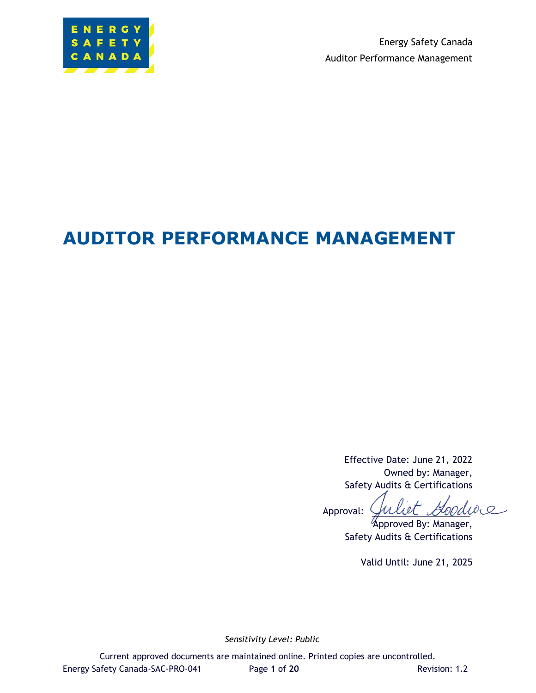

Energy Safety Canada Auditor Performance Management

# **AUDITOR PERFORMANCE MANAGEMENT**

Effective Date: June 21, 2022 Owned by: Manager, Safety Audits & Certifications

Goodwa i ot $\tau$ Approval:

Approved By: Manager, Safety Audits & Certifications

Valid Until: June 21, 2025

*Sensitivity Level: Public*

Current approved documents are maintained online. Printed copies are uncontrolled. Energy Safety Canada-SAC-PRO-041 Page **1** of **20** Revision: 1.2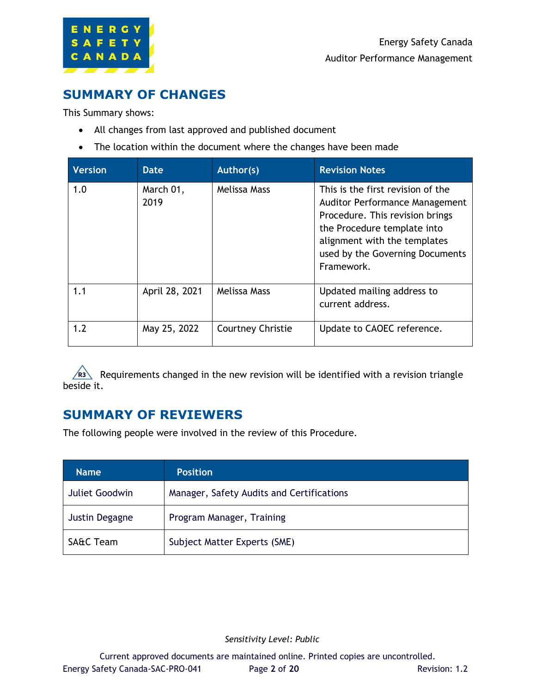

## <span id="page-1-0"></span>**SUMMARY OF CHANGES**

This Summary shows:

- All changes from last approved and published document
- The location within the document where the changes have been made

| <b>Version</b> | Date              | Author(s)                | <b>Revision Notes</b>                                                                                                                                                                                                         |
|----------------|-------------------|--------------------------|-------------------------------------------------------------------------------------------------------------------------------------------------------------------------------------------------------------------------------|
| 1.0            | March 01,<br>2019 | Melissa Mass             | This is the first revision of the<br><b>Auditor Performance Management</b><br>Procedure. This revision brings<br>the Procedure template into<br>alignment with the templates<br>used by the Governing Documents<br>Framework. |
| 1.1            | April 28, 2021    | Melissa Mass             | Updated mailing address to<br>current address.                                                                                                                                                                                |
| 1.2            | May 25, 2022      | <b>Courtney Christie</b> | Update to CAOEC reference.                                                                                                                                                                                                    |

Requirements changed in the new revision will be identified with a revision triangle beside it.

## <span id="page-1-1"></span>**SUMMARY OF REVIEWERS**

The following people were involved in the review of this Procedure.

| <b>Name</b>          | <b>Position</b>                           |
|----------------------|-------------------------------------------|
| Juliet Goodwin       | Manager, Safety Audits and Certifications |
| Justin Degagne       | Program Manager, Training                 |
| <b>SA&amp;C Team</b> | Subject Matter Experts (SME)              |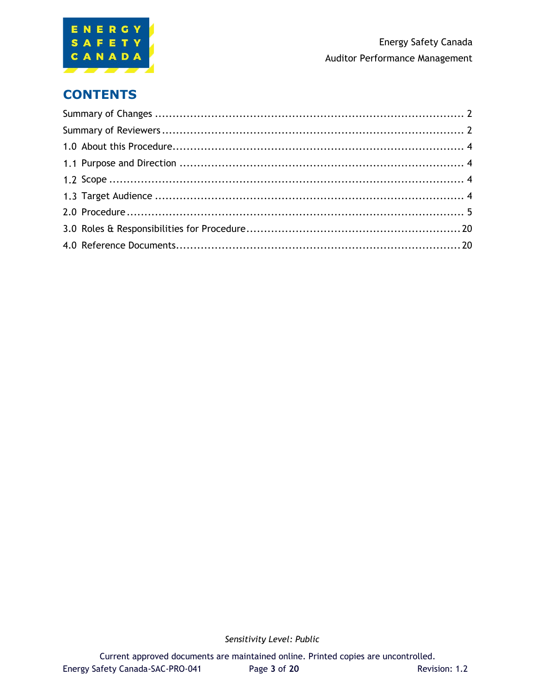

## **CONTENTS**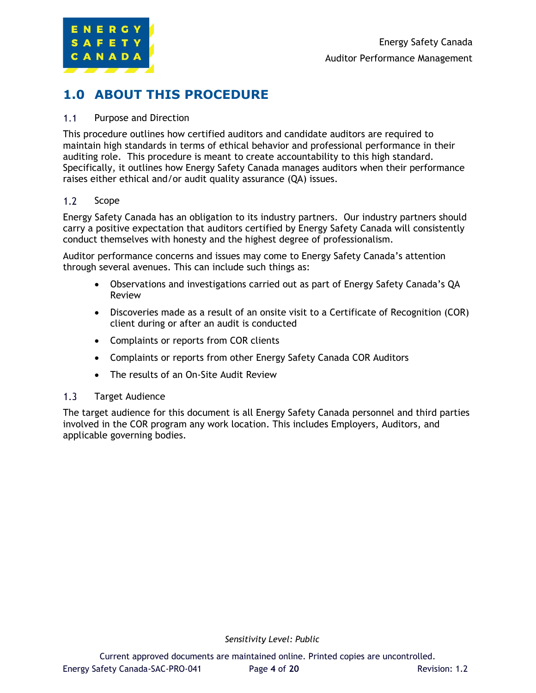

## <span id="page-3-0"></span>**1.0 ABOUT THIS PROCEDURE**

#### <span id="page-3-1"></span> $1.1$ Purpose and Direction

This procedure outlines how certified auditors and candidate auditors are required to maintain high standards in terms of ethical behavior and professional performance in their auditing role. This procedure is meant to create accountability to this high standard. Specifically, it outlines how Energy Safety Canada manages auditors when their performance raises either ethical and/or audit quality assurance (QA) issues.

#### <span id="page-3-2"></span> $1.2$ Scope

Energy Safety Canada has an obligation to its industry partners. Our industry partners should carry a positive expectation that auditors certified by Energy Safety Canada will consistently conduct themselves with honesty and the highest degree of professionalism.

Auditor performance concerns and issues may come to Energy Safety Canada's attention through several avenues. This can include such things as:

- Observations and investigations carried out as part of Energy Safety Canada's QA Review
- Discoveries made as a result of an onsite visit to a Certificate of Recognition (COR) client during or after an audit is conducted
- Complaints or reports from COR clients
- Complaints or reports from other Energy Safety Canada COR Auditors
- The results of an On-Site Audit Review

#### <span id="page-3-3"></span> $1.3<sub>l</sub>$ Target Audience

The target audience for this document is all Energy Safety Canada personnel and third parties involved in the COR program any work location. This includes Employers, Auditors, and applicable governing bodies.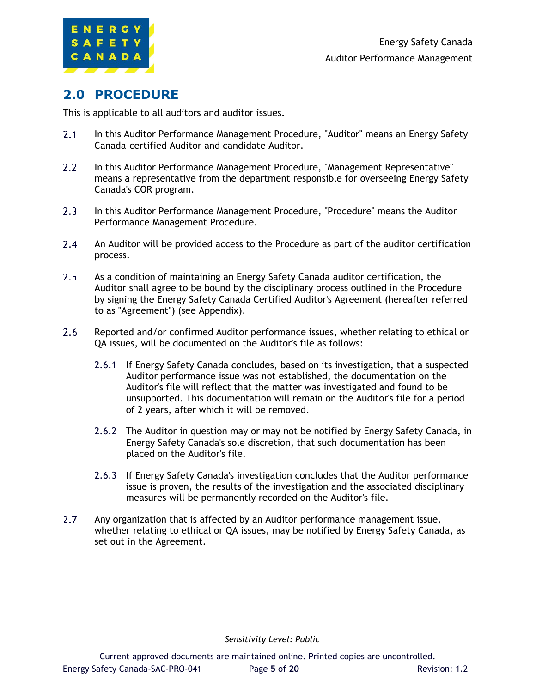

## <span id="page-4-0"></span>**2.0 PROCEDURE**

This is applicable to all auditors and auditor issues.

- $2.1$ In this Auditor Performance Management Procedure, "Auditor" means an Energy Safety Canada-certified Auditor and candidate Auditor.
- $2.2^{\circ}$ In this Auditor Performance Management Procedure, "Management Representative" means a representative from the department responsible for overseeing Energy Safety Canada's COR program.
- $2.3$ In this Auditor Performance Management Procedure, "Procedure" means the Auditor Performance Management Procedure.
- $2.4$ An Auditor will be provided access to the Procedure as part of the auditor certification process.
- $2.5$ As a condition of maintaining an Energy Safety Canada auditor certification, the Auditor shall agree to be bound by the disciplinary process outlined in the Procedure by signing the Energy Safety Canada Certified Auditor's Agreement (hereafter referred to as "Agreement") (see Appendix).
- $2.6$ Reported and/or confirmed Auditor performance issues, whether relating to ethical or QA issues, will be documented on the Auditor's file as follows:
	- 2.6.1 If Energy Safety Canada concludes, based on its investigation, that a suspected Auditor performance issue was not established, the documentation on the Auditor's file will reflect that the matter was investigated and found to be unsupported. This documentation will remain on the Auditor's file for a period of 2 years, after which it will be removed.
	- 2.6.2 The Auditor in question may or may not be notified by Energy Safety Canada, in Energy Safety Canada's sole discretion, that such documentation has been placed on the Auditor's file.
	- 2.6.3 If Energy Safety Canada's investigation concludes that the Auditor performance issue is proven, the results of the investigation and the associated disciplinary measures will be permanently recorded on the Auditor's file.
- $2.7$ Any organization that is affected by an Auditor performance management issue, whether relating to ethical or QA issues, may be notified by Energy Safety Canada, as set out in the Agreement.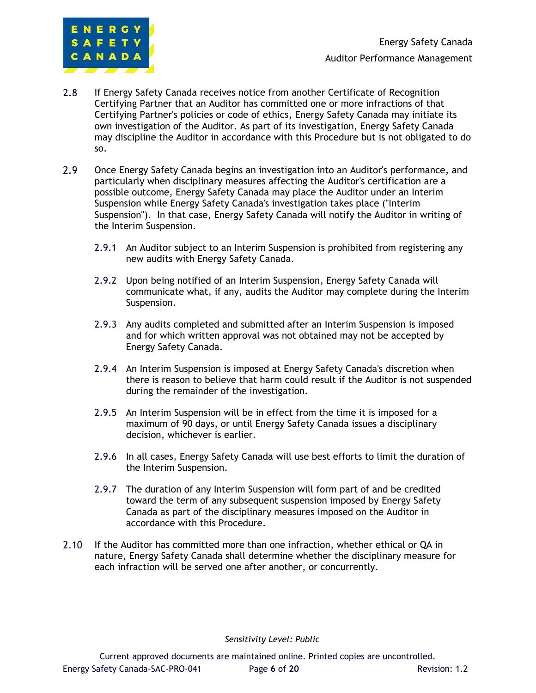

- $2.8$ If Energy Safety Canada receives notice from another Certificate of Recognition Certifying Partner that an Auditor has committed one or more infractions of that Certifying Partner's policies or code of ethics, Energy Safety Canada may initiate its own investigation of the Auditor. As part of its investigation, Energy Safety Canada may discipline the Auditor in accordance with this Procedure but is not obligated to do so.
- $2.9$ Once Energy Safety Canada begins an investigation into an Auditor's performance, and particularly when disciplinary measures affecting the Auditor's certification are a possible outcome, Energy Safety Canada may place the Auditor under an Interim Suspension while Energy Safety Canada's investigation takes place ("Interim Suspension"). In that case, Energy Safety Canada will notify the Auditor in writing of the Interim Suspension.
	- 2.9.1 An Auditor subject to an Interim Suspension is prohibited from registering any new audits with Energy Safety Canada.
	- 2.9.2 Upon being notified of an Interim Suspension, Energy Safety Canada will communicate what, if any, audits the Auditor may complete during the Interim Suspension.
	- 2.9.3 Any audits completed and submitted after an Interim Suspension is imposed and for which written approval was not obtained may not be accepted by Energy Safety Canada.
	- 2.9.4 An Interim Suspension is imposed at Energy Safety Canada's discretion when there is reason to believe that harm could result if the Auditor is not suspended during the remainder of the investigation.
	- 2.9.5 An Interim Suspension will be in effect from the time it is imposed for a maximum of 90 days, or until Energy Safety Canada issues a disciplinary decision, whichever is earlier.
	- 2.9.6 In all cases, Energy Safety Canada will use best efforts to limit the duration of the Interim Suspension.
	- 2.9.7 The duration of any Interim Suspension will form part of and be credited toward the term of any subsequent suspension imposed by Energy Safety Canada as part of the disciplinary measures imposed on the Auditor in accordance with this Procedure.
- $2.10 -$ If the Auditor has committed more than one infraction, whether ethical or QA in nature, Energy Safety Canada shall determine whether the disciplinary measure for each infraction will be served one after another, or concurrently.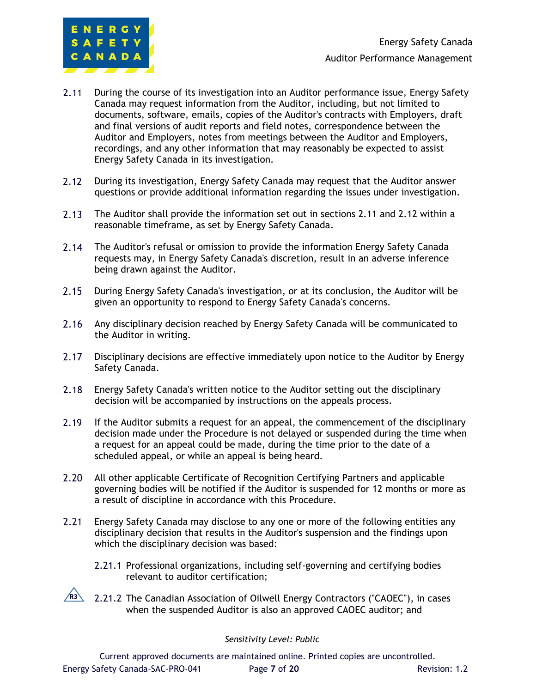

- $2.11$ During the course of its investigation into an Auditor performance issue, Energy Safety Canada may request information from the Auditor, including, but not limited to documents, software, emails, copies of the Auditor's contracts with Employers, draft and final versions of audit reports and field notes, correspondence between the Auditor and Employers, notes from meetings between the Auditor and Employers, recordings, and any other information that may reasonably be expected to assist Energy Safety Canada in its investigation.
- $2.12$ During its investigation, Energy Safety Canada may request that the Auditor answer questions or provide additional information regarding the issues under investigation.
- $2.13$ The Auditor shall provide the information set out in sections 2.11 and 2.12 within a reasonable timeframe, as set by Energy Safety Canada.
- $2.14$ The Auditor's refusal or omission to provide the information Energy Safety Canada requests may, in Energy Safety Canada's discretion, result in an adverse inference being drawn against the Auditor.
- $2.15 -$ During Energy Safety Canada's investigation, or at its conclusion, the Auditor will be given an opportunity to respond to Energy Safety Canada's concerns.
- $2.16$ Any disciplinary decision reached by Energy Safety Canada will be communicated to the Auditor in writing.
- $2.17$ Disciplinary decisions are effective immediately upon notice to the Auditor by Energy Safety Canada.
- $2.18$ Energy Safety Canada's written notice to the Auditor setting out the disciplinary decision will be accompanied by instructions on the appeals process.
- $2.19$ If the Auditor submits a request for an appeal, the commencement of the disciplinary decision made under the Procedure is not delayed or suspended during the time when a request for an appeal could be made, during the time prior to the date of a scheduled appeal, or while an appeal is being heard.
- $2.20$ All other applicable Certificate of Recognition Certifying Partners and applicable governing bodies will be notified if the Auditor is suspended for 12 months or more as a result of discipline in accordance with this Procedure.
- $2.21$ Energy Safety Canada may disclose to any one or more of the following entities any disciplinary decision that results in the Auditor's suspension and the findings upon which the disciplinary decision was based:
	- 2.21.1 Professional organizations, including self-governing and certifying bodies relevant to auditor certification;
	- 2.21.2 The Canadian Association of Oilwell Energy Contractors ("CAOEC"), in cases **R3**when the suspended Auditor is also an approved CAOEC auditor; and

#### *Sensitivity Level: Public*

Current approved documents are maintained online. Printed copies are uncontrolled. Energy Safety Canada-SAC-PRO-041 Page **7** of **20** Revision: 1.2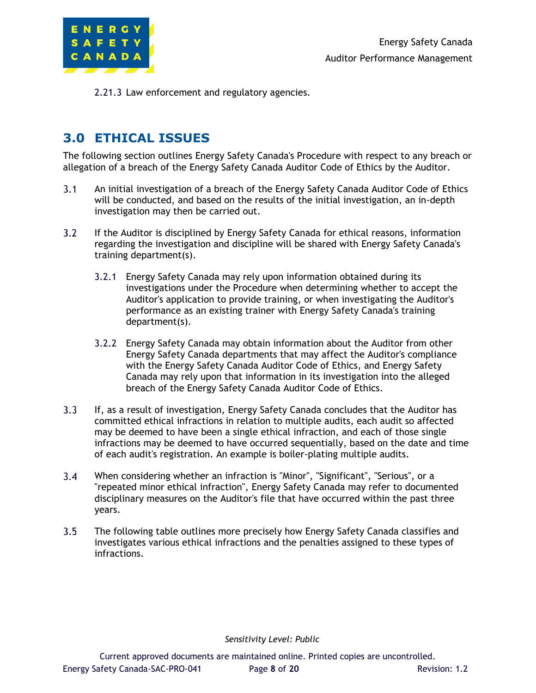

2.21.3 Law enforcement and regulatory agencies.

## **3.0 ETHICAL ISSUES**

The following section outlines Energy Safety Canada's Procedure with respect to any breach or allegation of a breach of the Energy Safety Canada Auditor Code of Ethics by the Auditor.

- $3.1$ An initial investigation of a breach of the Energy Safety Canada Auditor Code of Ethics will be conducted, and based on the results of the initial investigation, an in-depth investigation may then be carried out.
- $3.2$ If the Auditor is disciplined by Energy Safety Canada for ethical reasons, information regarding the investigation and discipline will be shared with Energy Safety Canada's training department(s).
	- 3.2.1 Energy Safety Canada may rely upon information obtained during its investigations under the Procedure when determining whether to accept the Auditor's application to provide training, or when investigating the Auditor's performance as an existing trainer with Energy Safety Canada's training department(s).
	- 3.2.2 Energy Safety Canada may obtain information about the Auditor from other Energy Safety Canada departments that may affect the Auditor's compliance with the Energy Safety Canada Auditor Code of Ethics, and Energy Safety Canada may rely upon that information in its investigation into the alleged breach of the Energy Safety Canada Auditor Code of Ethics.
- $3.3$ If, as a result of investigation, Energy Safety Canada concludes that the Auditor has committed ethical infractions in relation to multiple audits, each audit so affected may be deemed to have been a single ethical infraction, and each of those single infractions may be deemed to have occurred sequentially, based on the date and time of each audit's registration. An example is boiler-plating multiple audits.
- $3.4$ When considering whether an infraction is "Minor", "Significant", "Serious", or a "repeated minor ethical infraction", Energy Safety Canada may refer to documented disciplinary measures on the Auditor's file that have occurred within the past three years.
- $3.5$ The following table outlines more precisely how Energy Safety Canada classifies and investigates various ethical infractions and the penalties assigned to these types of infractions.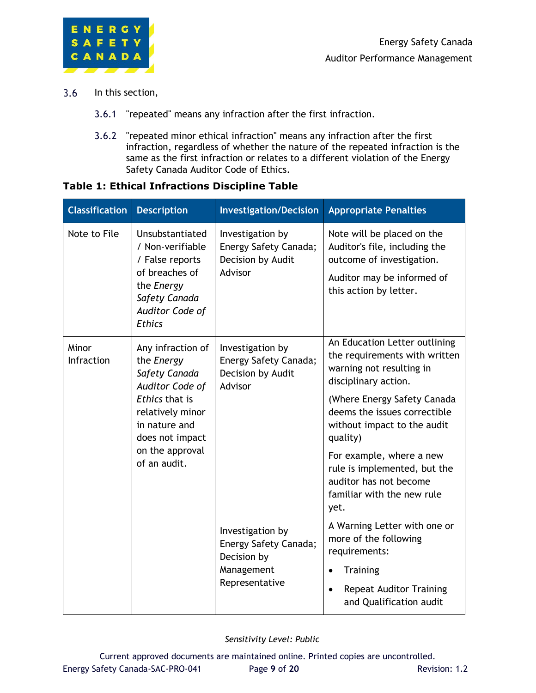

- $3.6$ In this section,
	- 3.6.1 "repeated" means any infraction after the first infraction.
	- 3.6.2 "repeated minor ethical infraction" means any infraction after the first infraction, regardless of whether the nature of the repeated infraction is the same as the first infraction or relates to a different violation of the Energy Safety Canada Auditor Code of Ethics.

#### **Table 1: Ethical Infractions Discipline Table**

| <b>Classification</b> | <b>Description</b>                                                                                                                                                               | <b>Investigation/Decision</b>                                                            | <b>Appropriate Penalties</b>                                                                                                                                                                                                                                                                                                                             |
|-----------------------|----------------------------------------------------------------------------------------------------------------------------------------------------------------------------------|------------------------------------------------------------------------------------------|----------------------------------------------------------------------------------------------------------------------------------------------------------------------------------------------------------------------------------------------------------------------------------------------------------------------------------------------------------|
| Note to File          | Unsubstantiated<br>/ Non-verifiable<br>/ False reports<br>of breaches of<br>the Energy<br>Safety Canada<br>Auditor Code of<br><b>Ethics</b>                                      | Investigation by<br>Energy Safety Canada;<br>Decision by Audit<br>Advisor                | Note will be placed on the<br>Auditor's file, including the<br>outcome of investigation.<br>Auditor may be informed of<br>this action by letter.                                                                                                                                                                                                         |
| Minor<br>Infraction   | Any infraction of<br>the Energy<br>Safety Canada<br>Auditor Code of<br>Ethics that is<br>relatively minor<br>in nature and<br>does not impact<br>on the approval<br>of an audit. | Investigation by<br>Energy Safety Canada;<br>Decision by Audit<br>Advisor                | An Education Letter outlining<br>the requirements with written<br>warning not resulting in<br>disciplinary action.<br>(Where Energy Safety Canada<br>deems the issues correctible<br>without impact to the audit<br>quality)<br>For example, where a new<br>rule is implemented, but the<br>auditor has not become<br>familiar with the new rule<br>yet. |
|                       |                                                                                                                                                                                  | Investigation by<br>Energy Safety Canada;<br>Decision by<br>Management<br>Representative | A Warning Letter with one or<br>more of the following<br>requirements:<br><b>Training</b><br><b>Repeat Auditor Training</b><br>$\bullet$<br>and Qualification audit                                                                                                                                                                                      |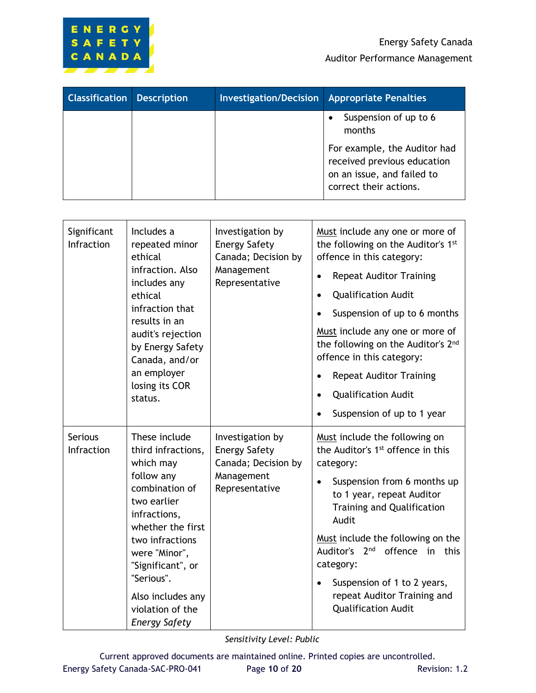

| <b>Classification Description</b> | <b>Investigation/Decision</b> Appropriate Penalties |                                                                                                                     |
|-----------------------------------|-----------------------------------------------------|---------------------------------------------------------------------------------------------------------------------|
|                                   |                                                     | Suspension of up to 6<br>months                                                                                     |
|                                   |                                                     | For example, the Auditor had<br>received previous education<br>on an issue, and failed to<br>correct their actions. |

| Significant<br>Infraction    | Includes a<br>repeated minor<br>ethical<br>infraction. Also<br>includes any<br>ethical<br>infraction that<br>results in an<br>audit's rejection<br>by Energy Safety<br>Canada, and/or<br>an employer<br>losing its COR<br>status.                                            | Investigation by<br><b>Energy Safety</b><br>Canada; Decision by<br>Management<br>Representative | Must include any one or more of<br>the following on the Auditor's 1st<br>offence in this category:<br><b>Repeat Auditor Training</b><br><b>Qualification Audit</b><br>$\bullet$<br>Suspension of up to 6 months<br>Must include any one or more of<br>the following on the Auditor's 2 <sup>nd</sup><br>offence in this category:<br><b>Repeat Auditor Training</b><br><b>Qualification Audit</b><br>Suspension of up to 1 year |
|------------------------------|------------------------------------------------------------------------------------------------------------------------------------------------------------------------------------------------------------------------------------------------------------------------------|-------------------------------------------------------------------------------------------------|---------------------------------------------------------------------------------------------------------------------------------------------------------------------------------------------------------------------------------------------------------------------------------------------------------------------------------------------------------------------------------------------------------------------------------|
| <b>Serious</b><br>Infraction | These include<br>third infractions,<br>which may<br>follow any<br>combination of<br>two earlier<br>infractions,<br>whether the first<br>two infractions<br>were "Minor",<br>"Significant", or<br>"Serious".<br>Also includes any<br>violation of the<br><b>Energy Safety</b> | Investigation by<br><b>Energy Safety</b><br>Canada; Decision by<br>Management<br>Representative | Must include the following on<br>the Auditor's 1 <sup>st</sup> offence in this<br>category:<br>Suspension from 6 months up<br>to 1 year, repeat Auditor<br><b>Training and Qualification</b><br>Audit<br>Must include the following on the<br>Auditor's 2nd<br>offence in this<br>category:<br>Suspension of 1 to 2 years,<br>$\bullet$<br>repeat Auditor Training and<br><b>Qualification Audit</b>                            |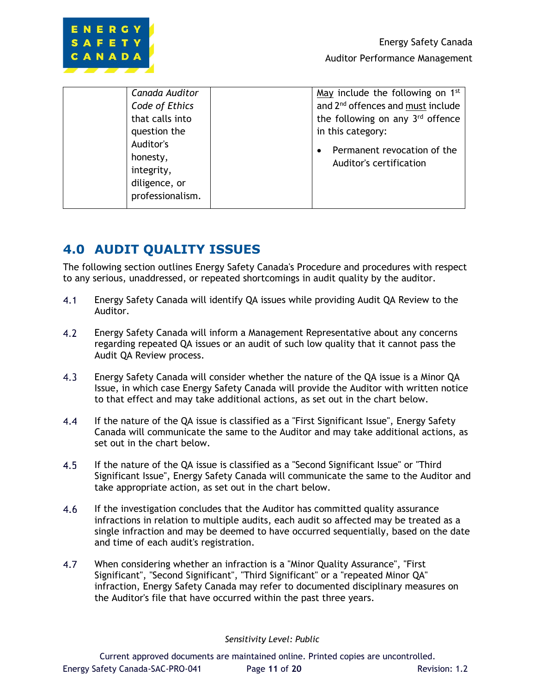

| Canada Auditor   | May include the following on 1st              |
|------------------|-----------------------------------------------|
| Code of Ethics   | and 2 <sup>nd</sup> offences and must include |
| that calls into  | the following on any 3rd offence              |
| question the     | in this category:                             |
| Auditor's        | Permanent revocation of the                   |
| honesty,         | Auditor's certification                       |
| integrity,       |                                               |
| diligence, or    |                                               |
| professionalism. |                                               |
|                  |                                               |

## **4.0 AUDIT QUALITY ISSUES**

The following section outlines Energy Safety Canada's Procedure and procedures with respect to any serious, unaddressed, or repeated shortcomings in audit quality by the auditor.

- $4.1$ Energy Safety Canada will identify QA issues while providing Audit QA Review to the Auditor.
- $4.2$ Energy Safety Canada will inform a Management Representative about any concerns regarding repeated QA issues or an audit of such low quality that it cannot pass the Audit QA Review process.
- $4.3$ Energy Safety Canada will consider whether the nature of the QA issue is a Minor QA Issue, in which case Energy Safety Canada will provide the Auditor with written notice to that effect and may take additional actions, as set out in the chart below.
- 4.4 If the nature of the QA issue is classified as a "First Significant Issue", Energy Safety Canada will communicate the same to the Auditor and may take additional actions, as set out in the chart below.
- 4.5 If the nature of the QA issue is classified as a "Second Significant Issue" or "Third Significant Issue", Energy Safety Canada will communicate the same to the Auditor and take appropriate action, as set out in the chart below.
- $4.6$ If the investigation concludes that the Auditor has committed quality assurance infractions in relation to multiple audits, each audit so affected may be treated as a single infraction and may be deemed to have occurred sequentially, based on the date and time of each audit's registration.
- 4.7 When considering whether an infraction is a "Minor Quality Assurance", "First Significant", "Second Significant", "Third Significant" or a "repeated Minor QA" infraction, Energy Safety Canada may refer to documented disciplinary measures on the Auditor's file that have occurred within the past three years.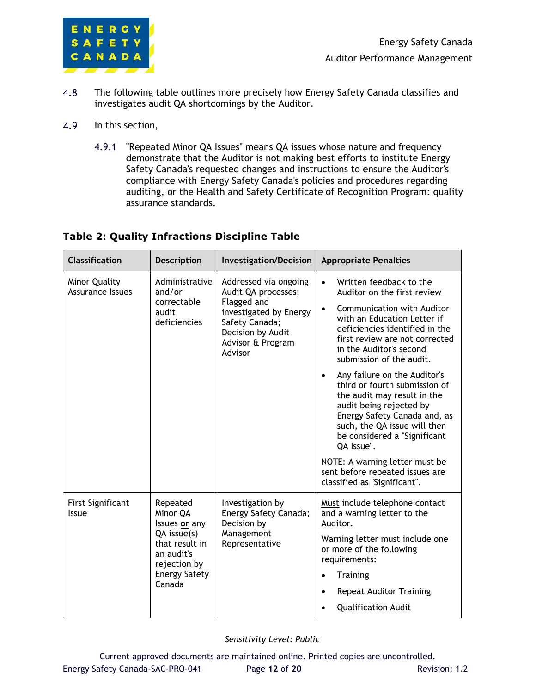

- 4.8 The following table outlines more precisely how Energy Safety Canada classifies and investigates audit QA shortcomings by the Auditor.
- 4.9 In this section,
	- 4.9.1 "Repeated Minor QA Issues" means QA issues whose nature and frequency demonstrate that the Auditor is not making best efforts to institute Energy Safety Canada's requested changes and instructions to ensure the Auditor's compliance with Energy Safety Canada's policies and procedures regarding auditing, or the Health and Safety Certificate of Recognition Program: quality assurance standards.

### **Table 2: Quality Infractions Discipline Table**

| <b>Classification</b>                           | <b>Description</b>                                                                                                                          | <b>Investigation/Decision</b>                                                                                                                                | <b>Appropriate Penalties</b>                                                                                                                                                                                                                                                                                                                                                                                                                                                                                                                                                                                           |
|-------------------------------------------------|---------------------------------------------------------------------------------------------------------------------------------------------|--------------------------------------------------------------------------------------------------------------------------------------------------------------|------------------------------------------------------------------------------------------------------------------------------------------------------------------------------------------------------------------------------------------------------------------------------------------------------------------------------------------------------------------------------------------------------------------------------------------------------------------------------------------------------------------------------------------------------------------------------------------------------------------------|
| <b>Minor Quality</b><br><b>Assurance Issues</b> | Administrative<br>and/or<br>correctable<br>audit<br>deficiencies                                                                            | Addressed via ongoing<br>Audit QA processes;<br>Flagged and<br>investigated by Energy<br>Safety Canada;<br>Decision by Audit<br>Advisor & Program<br>Advisor | Written feedback to the<br>$\bullet$<br>Auditor on the first review<br>Communication with Auditor<br>$\bullet$<br>with an Education Letter if<br>deficiencies identified in the<br>first review are not corrected<br>in the Auditor's second<br>submission of the audit.<br>Any failure on the Auditor's<br>third or fourth submission of<br>the audit may result in the<br>audit being rejected by<br>Energy Safety Canada and, as<br>such, the QA issue will then<br>be considered a "Significant<br>QA Issue".<br>NOTE: A warning letter must be<br>sent before repeated issues are<br>classified as "Significant". |
| <b>First Significant</b><br><b>Issue</b>        | Repeated<br>Minor QA<br>Issues or any<br>$QA$ issue $(s)$<br>that result in<br>an audit's<br>rejection by<br><b>Energy Safety</b><br>Canada | Investigation by<br>Energy Safety Canada;<br>Decision by<br>Management<br>Representative                                                                     | Must include telephone contact<br>and a warning letter to the<br>Auditor.<br>Warning letter must include one<br>or more of the following<br>requirements:<br><b>Training</b><br>$\bullet$<br><b>Repeat Auditor Training</b><br><b>Qualification Audit</b>                                                                                                                                                                                                                                                                                                                                                              |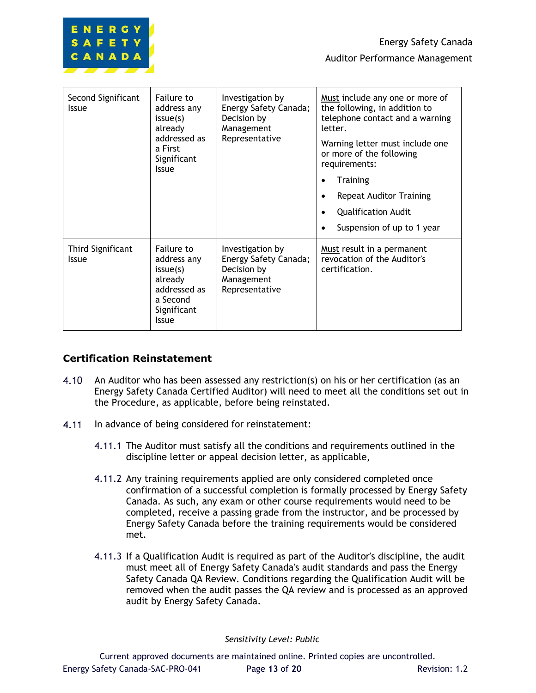

| Second Significant<br><b>Issue</b>       | Failure to<br>address any<br>issue(s)<br>already<br>addressed as<br>a First<br>Significant<br><b>Issue</b>  | Investigation by<br>Energy Safety Canada;<br>Decision by<br>Management<br>Representative | Must include any one or more of<br>the following, in addition to<br>telephone contact and a warning<br>letter.<br>Warning letter must include one<br>or more of the following<br>requirements:<br><b>Training</b><br><b>Repeat Auditor Training</b><br>$\bullet$<br><b>Qualification Audit</b><br>$\bullet$<br>Suspension of up to 1 year |
|------------------------------------------|-------------------------------------------------------------------------------------------------------------|------------------------------------------------------------------------------------------|-------------------------------------------------------------------------------------------------------------------------------------------------------------------------------------------------------------------------------------------------------------------------------------------------------------------------------------------|
| <b>Third Significant</b><br><b>Issue</b> | Failure to<br>address any<br>issue(s)<br>already<br>addressed as<br>a Second<br>Significant<br><b>Issue</b> | Investigation by<br>Energy Safety Canada;<br>Decision by<br>Management<br>Representative | Must result in a permanent<br>revocation of the Auditor's<br>certification.                                                                                                                                                                                                                                                               |

### **Certification Reinstatement**

- $4.10 -$ An Auditor who has been assessed any restriction(s) on his or her certification (as an Energy Safety Canada Certified Auditor) will need to meet all the conditions set out in the Procedure, as applicable, before being reinstated.
- $4.11$ In advance of being considered for reinstatement:
	- 4.11.1 The Auditor must satisfy all the conditions and requirements outlined in the discipline letter or appeal decision letter, as applicable,
	- 4.11.2 Any training requirements applied are only considered completed once confirmation of a successful completion is formally processed by Energy Safety Canada. As such, any exam or other course requirements would need to be completed, receive a passing grade from the instructor, and be processed by Energy Safety Canada before the training requirements would be considered met.
	- 4.11.3 If a Qualification Audit is required as part of the Auditor's discipline, the audit must meet all of Energy Safety Canada's audit standards and pass the Energy Safety Canada QA Review. Conditions regarding the Qualification Audit will be removed when the audit passes the QA review and is processed as an approved audit by Energy Safety Canada.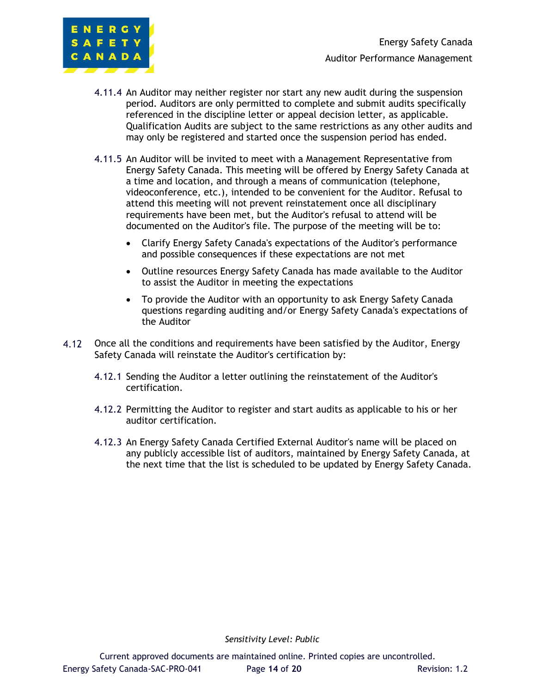

- 4.11.4 An Auditor may neither register nor start any new audit during the suspension period. Auditors are only permitted to complete and submit audits specifically referenced in the discipline letter or appeal decision letter, as applicable. Qualification Audits are subject to the same restrictions as any other audits and may only be registered and started once the suspension period has ended.
- 4.11.5 An Auditor will be invited to meet with a Management Representative from Energy Safety Canada. This meeting will be offered by Energy Safety Canada at a time and location, and through a means of communication (telephone, videoconference, etc.), intended to be convenient for the Auditor. Refusal to attend this meeting will not prevent reinstatement once all disciplinary requirements have been met, but the Auditor's refusal to attend will be documented on the Auditor's file. The purpose of the meeting will be to:
	- Clarify Energy Safety Canada's expectations of the Auditor's performance and possible consequences if these expectations are not met
	- Outline resources Energy Safety Canada has made available to the Auditor to assist the Auditor in meeting the expectations
	- To provide the Auditor with an opportunity to ask Energy Safety Canada questions regarding auditing and/or Energy Safety Canada's expectations of the Auditor
- $4.12$ Once all the conditions and requirements have been satisfied by the Auditor, Energy Safety Canada will reinstate the Auditor's certification by:
	- 4.12.1 Sending the Auditor a letter outlining the reinstatement of the Auditor's certification.
	- 4.12.2 Permitting the Auditor to register and start audits as applicable to his or her auditor certification.
	- 4.12.3 An Energy Safety Canada Certified External Auditor's name will be placed on any publicly accessible list of auditors, maintained by Energy Safety Canada, at the next time that the list is scheduled to be updated by Energy Safety Canada.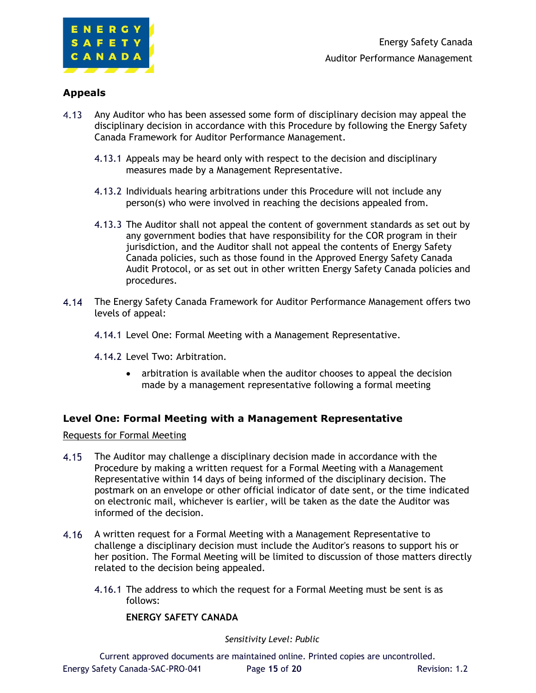

### **Appeals**

- $4.13$ Any Auditor who has been assessed some form of disciplinary decision may appeal the disciplinary decision in accordance with this Procedure by following the Energy Safety Canada Framework for Auditor Performance Management.
	- 4.13.1 Appeals may be heard only with respect to the decision and disciplinary measures made by a Management Representative.
	- 4.13.2 Individuals hearing arbitrations under this Procedure will not include any person(s) who were involved in reaching the decisions appealed from.
	- 4.13.3 The Auditor shall not appeal the content of government standards as set out by any government bodies that have responsibility for the COR program in their jurisdiction, and the Auditor shall not appeal the contents of Energy Safety Canada policies, such as those found in the Approved Energy Safety Canada Audit Protocol, or as set out in other written Energy Safety Canada policies and procedures.
- The Energy Safety Canada Framework for Auditor Performance Management offers two levels of appeal:
	- 4.14.1 Level One: Formal Meeting with a Management Representative.
	- 4.14.2 Level Two: Arbitration.
		- arbitration is available when the auditor chooses to appeal the decision made by a management representative following a formal meeting

#### **Level One: Formal Meeting with a Management Representative**

Requests for Formal Meeting

- $4.15$ The Auditor may challenge a disciplinary decision made in accordance with the Procedure by making a written request for a Formal Meeting with a Management Representative within 14 days of being informed of the disciplinary decision. The postmark on an envelope or other official indicator of date sent, or the time indicated on electronic mail, whichever is earlier, will be taken as the date the Auditor was informed of the decision.
- $4.16$ A written request for a Formal Meeting with a Management Representative to challenge a disciplinary decision must include the Auditor's reasons to support his or her position. The Formal Meeting will be limited to discussion of those matters directly related to the decision being appealed.
	- 4.16.1 The address to which the request for a Formal Meeting must be sent is as follows:

#### **ENERGY SAFETY CANADA**

*Sensitivity Level: Public*

Current approved documents are maintained online. Printed copies are uncontrolled. Energy Safety Canada-SAC-PRO-041 Page **15** of **20** Revision: 1.2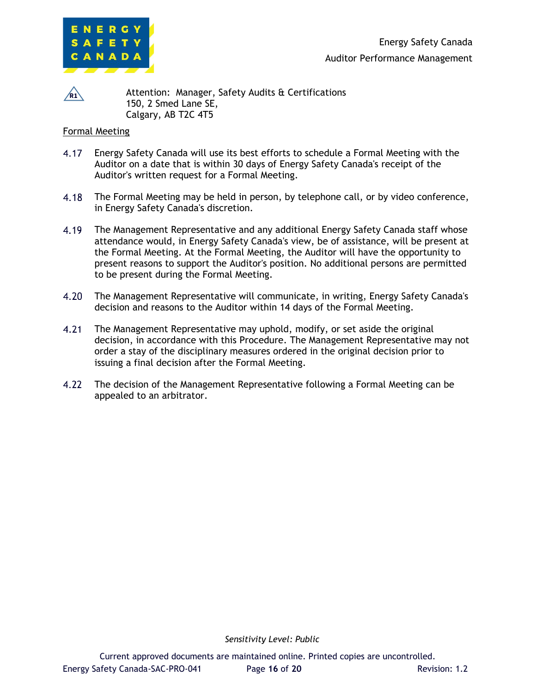

 $\sqrt{R1}$ 

Attention: Manager, Safety Audits & Certifications 150, 2 Smed Lane SE, Calgary, AB T2C 4T5

#### Formal Meeting

- 4.17 Energy Safety Canada will use its best efforts to schedule a Formal Meeting with the Auditor on a date that is within 30 days of Energy Safety Canada's receipt of the Auditor's written request for a Formal Meeting.
- $4.18$ The Formal Meeting may be held in person, by telephone call, or by video conference, in Energy Safety Canada's discretion.
- The Management Representative and any additional Energy Safety Canada staff whose 4.19 attendance would, in Energy Safety Canada's view, be of assistance, will be present at the Formal Meeting. At the Formal Meeting, the Auditor will have the opportunity to present reasons to support the Auditor's position. No additional persons are permitted to be present during the Formal Meeting.
- $4.20$ The Management Representative will communicate, in writing, Energy Safety Canada's decision and reasons to the Auditor within 14 days of the Formal Meeting.
- $4.21$ The Management Representative may uphold, modify, or set aside the original decision, in accordance with this Procedure. The Management Representative may not order a stay of the disciplinary measures ordered in the original decision prior to issuing a final decision after the Formal Meeting.
- $4.22$ The decision of the Management Representative following a Formal Meeting can be appealed to an arbitrator.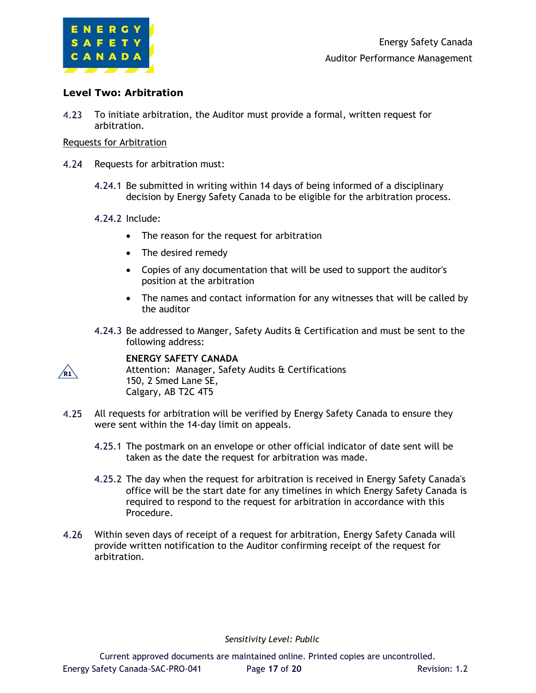

#### **Level Two: Arbitration**

 $4.23$ To initiate arbitration, the Auditor must provide a formal, written request for arbitration.

#### Requests for Arbitration

- 4.24 Requests for arbitration must:
	- 4.24.1 Be submitted in writing within 14 days of being informed of a disciplinary decision by Energy Safety Canada to be eligible for the arbitration process.

#### 4.24.2 Include:

- The reason for the request for arbitration
- The desired remedy
- Copies of any documentation that will be used to support the auditor's position at the arbitration
- The names and contact information for any witnesses that will be called by the auditor
- 4.24.3 Be addressed to Manger, Safety Audits & Certification and must be sent to the following address:

**R1**

#### **ENERGY SAFETY CANADA**

Attention: Manager, Safety Audits & Certifications 150, 2 Smed Lane SE, Calgary, AB T2C 4T5

- $4.25$ All requests for arbitration will be verified by Energy Safety Canada to ensure they were sent within the 14-day limit on appeals.
	- 4.25.1 The postmark on an envelope or other official indicator of date sent will be taken as the date the request for arbitration was made.
	- 4.25.2 The day when the request for arbitration is received in Energy Safety Canada's office will be the start date for any timelines in which Energy Safety Canada is required to respond to the request for arbitration in accordance with this Procedure.
- $4.26$ Within seven days of receipt of a request for arbitration, Energy Safety Canada will provide written notification to the Auditor confirming receipt of the request for arbitration.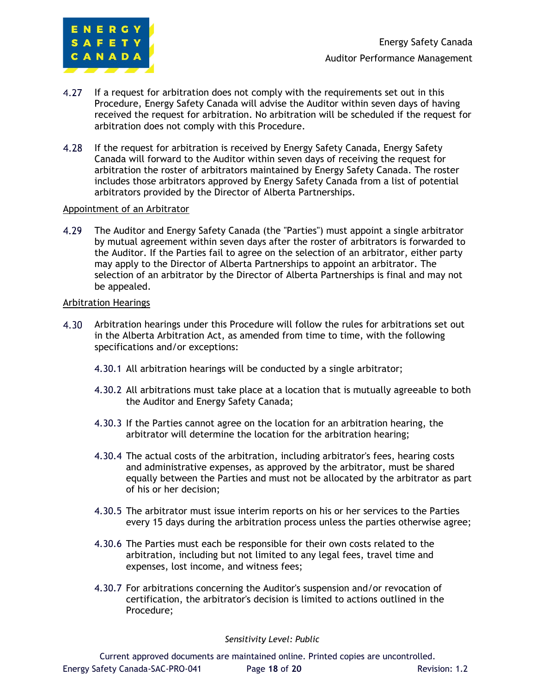

- $4.27$ If a request for arbitration does not comply with the requirements set out in this Procedure, Energy Safety Canada will advise the Auditor within seven days of having received the request for arbitration. No arbitration will be scheduled if the request for arbitration does not comply with this Procedure.
- 4.28 If the request for arbitration is received by Energy Safety Canada, Energy Safety Canada will forward to the Auditor within seven days of receiving the request for arbitration the roster of arbitrators maintained by Energy Safety Canada. The roster includes those arbitrators approved by Energy Safety Canada from a list of potential arbitrators provided by the Director of Alberta Partnerships.

#### Appointment of an Arbitrator

4.29 The Auditor and Energy Safety Canada (the "Parties") must appoint a single arbitrator by mutual agreement within seven days after the roster of arbitrators is forwarded to the Auditor. If the Parties fail to agree on the selection of an arbitrator, either party may apply to the Director of Alberta Partnerships to appoint an arbitrator. The selection of an arbitrator by the Director of Alberta Partnerships is final and may not be appealed.

#### Arbitration Hearings

- $4.30 -$ Arbitration hearings under this Procedure will follow the rules for arbitrations set out in the Alberta Arbitration Act, as amended from time to time, with the following specifications and/or exceptions:
	- 4.30.1 All arbitration hearings will be conducted by a single arbitrator;
	- 4.30.2 All arbitrations must take place at a location that is mutually agreeable to both the Auditor and Energy Safety Canada;
	- 4.30.3 If the Parties cannot agree on the location for an arbitration hearing, the arbitrator will determine the location for the arbitration hearing;
	- 4.30.4 The actual costs of the arbitration, including arbitrator's fees, hearing costs and administrative expenses, as approved by the arbitrator, must be shared equally between the Parties and must not be allocated by the arbitrator as part of his or her decision;
	- 4.30.5 The arbitrator must issue interim reports on his or her services to the Parties every 15 days during the arbitration process unless the parties otherwise agree;
	- 4.30.6 The Parties must each be responsible for their own costs related to the arbitration, including but not limited to any legal fees, travel time and expenses, lost income, and witness fees;
	- 4.30.7 For arbitrations concerning the Auditor's suspension and/or revocation of certification, the arbitrator's decision is limited to actions outlined in the Procedure;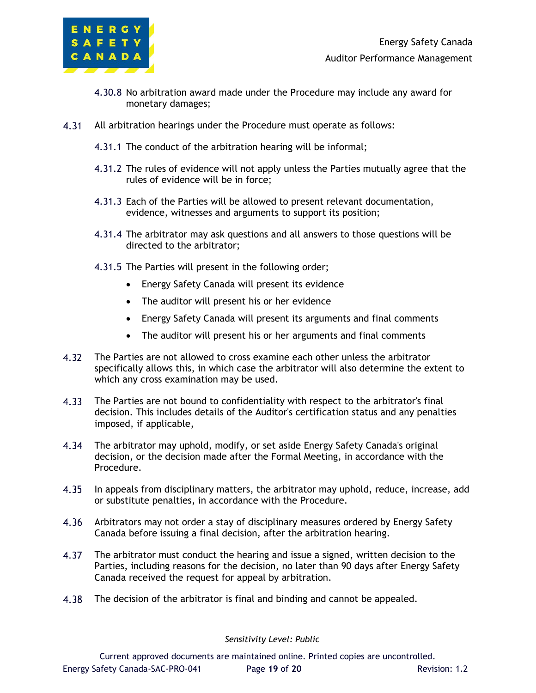

- 4.30.8 No arbitration award made under the Procedure may include any award for monetary damages;
- $4.31$ All arbitration hearings under the Procedure must operate as follows:
	- 4.31.1 The conduct of the arbitration hearing will be informal;
	- 4.31.2 The rules of evidence will not apply unless the Parties mutually agree that the rules of evidence will be in force;
	- 4.31.3 Each of the Parties will be allowed to present relevant documentation, evidence, witnesses and arguments to support its position;
	- 4.31.4 The arbitrator may ask questions and all answers to those questions will be directed to the arbitrator;
	- 4.31.5 The Parties will present in the following order;
		- Energy Safety Canada will present its evidence
		- The auditor will present his or her evidence
		- Energy Safety Canada will present its arguments and final comments
		- The auditor will present his or her arguments and final comments
- The Parties are not allowed to cross examine each other unless the arbitrator specifically allows this, in which case the arbitrator will also determine the extent to which any cross examination may be used.
- $4.33$ The Parties are not bound to confidentiality with respect to the arbitrator's final decision. This includes details of the Auditor's certification status and any penalties imposed, if applicable,
- $4.34$ The arbitrator may uphold, modify, or set aside Energy Safety Canada's original decision, or the decision made after the Formal Meeting, in accordance with the Procedure.
- $4.35$ In appeals from disciplinary matters, the arbitrator may uphold, reduce, increase, add or substitute penalties, in accordance with the Procedure.
- $4.36$ Arbitrators may not order a stay of disciplinary measures ordered by Energy Safety Canada before issuing a final decision, after the arbitration hearing.
- 4.37 The arbitrator must conduct the hearing and issue a signed, written decision to the Parties, including reasons for the decision, no later than 90 days after Energy Safety Canada received the request for appeal by arbitration.
- 4.38 The decision of the arbitrator is final and binding and cannot be appealed.